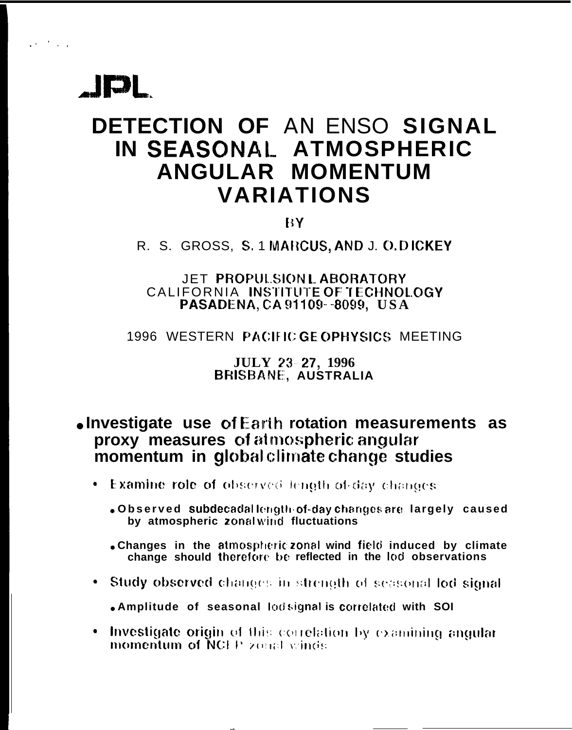

 $1 + 1 + 1 = 1$ 

# DETECTION OF AN ENSO SIGNAL IN SEASONAL ATMOSPHERIC ANGULAR MOMENTUM **VARIATIONS**

BY.

R. S. GROSS, S. 1 MARCUS, AND J. O. DICKEY

#### JET PROPULSION LABORATORY CALIFORNIA INSTITUTE OF TECHNOLOGY PASADENA, CA 91109--8099, USA

#### 1996 WESTERN PACIFIC GE OPHYSICS MEETING

#### **JULY 23-27, 1996 BRISBANE, AUSTRALIA**

#### . Investigate use of Earth rotation measurements as proxy measures of atmospheric angular momentum in global climate change studies

- Examine role of observed length of day changes
	- . Observed subdecadallength of-day changes are largely caused by atmospheric zonalwind fluctuations
	- . Changes in the atmospheric zonal wind field induced by climate change should therefore be reflected in the lod observations
- Study observed changes in strength of seasonal lod signal
	- . Amplitude of seasonal lodsignal is correlated with SOI
- Investigate origin of this correlation by examining angular momentum of NCEP zonal winds.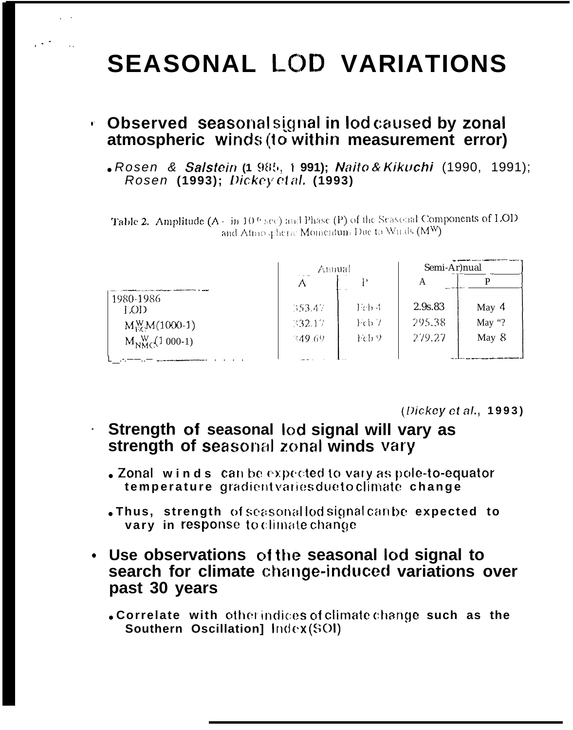# **SEASONAL LOD VARIATIONS**

#### • Observed seasonal signal in lod caused by zonal atmospheric winds (to within measurement error)

. Rosen & Salstein (1 985, 1 991); Naito & Kikuchi (1990, 1991); Rosen (1993); Dickey et al. (1993)

Table 2. Amplitude (A - in 10.6 sec) and Phase (P) of the Seasonal Components of LOD and Atmospheric Momentum Due to Winds (MW)

|                               | Annual |       | Semi-Ar)nual |         |
|-------------------------------|--------|-------|--------------|---------|
|                               |        | Þ     | А            |         |
| 1980-1986<br>LOD <sub>1</sub> | 353.47 | Fcb 4 | 2.9s.83      | May $4$ |
| $M_{EC}^{W}M(1000-1)$         | 332.17 | Feb 7 | 295.38       | May "?  |
| $M_{NMC}$ (1 000-1)           | 349.69 | Feb 9 | 279.27       | May 8   |
|                               |        |       |              |         |

 $(Dickey et al., 1993)$ 

### Strength of seasonal lod signal will vary as strength of seasonal zonal winds vary

- •Zonal winds can be expected to vary as pole-to-equator temperature gradient varies due to climate change
- . Thus, strength of seasonallod signal can be expected to vary in response to climate change
- Use observations of the seasonal lod signal to search for climate change-induced variations over past 30 years
	- . Correlate with other indices of climate change such as the Southern Oscillation] Index (SOI)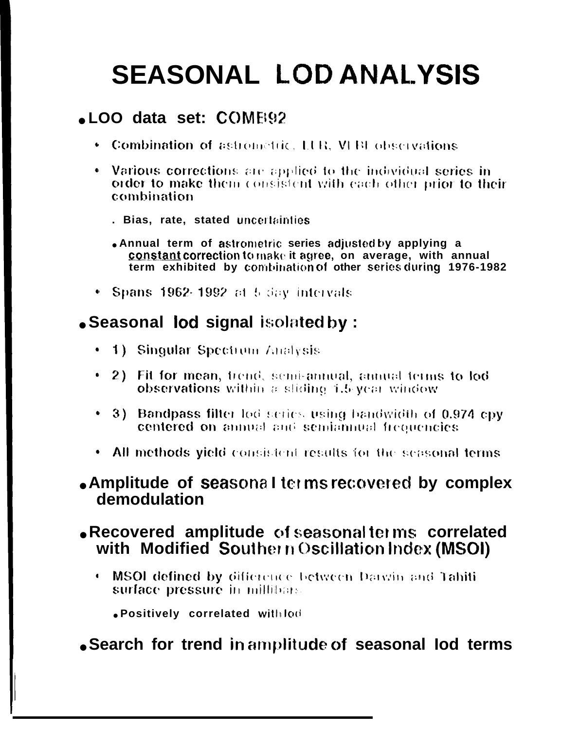# **SEASONAL LOD ANALYSIS**

## . LOO data set: COME92

- Combination of astrometric, LUR, VEBI observations
- Various corrections are applied to the individual series in order to make them consistent with each other prior to their combination
	- . Bias, rate, stated uncertainties
	- Annual term of astrometric series adjusted by applying a constant correction to make it agree, on average, with annual term exhibited by combination of other series during 1976-1982
- Spans 1962-1992 at 5 day intervals

## • Seasonal lod signal isolated by:

- 1) Singular Spectrum Analysis
- 2) Fit for mean, trend, semi-annual, annual terms to lod observations within a sliding 1.5 year window
- 3) Bandpass filter lod series using bandwidth of 0.974 cpy centered on annual and semiannual frequencies
- All methods yield consistent results for the seasonal terms

#### . Amplitude of seasonal terms recovered by complex demodulation

#### • Recovered amplitude of seasonal terms correlated with Modified Southern Oscillation Index (MSOI)

. MSOI defined by difference between Darwin and Tahiti surface pressure in millibars.

. Positively correlated with lod

### • Search for trend in amplitude of seasonal lod terms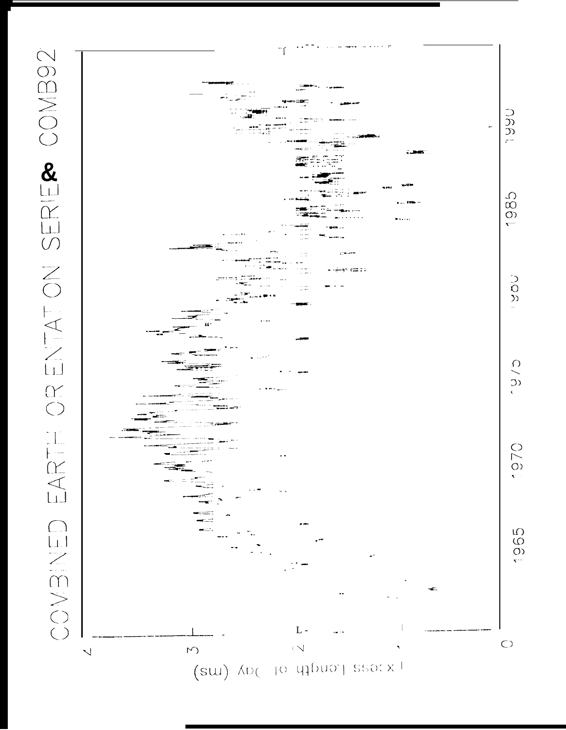

 $(su)$  AD( to utiliary search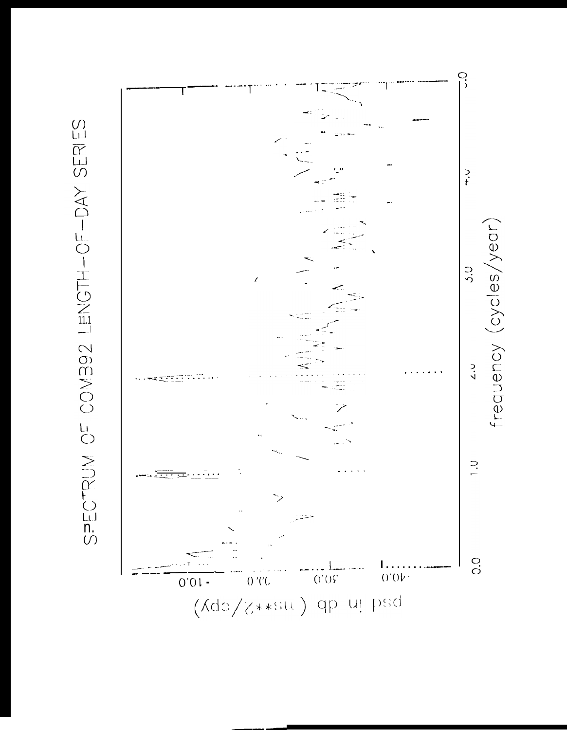SPECTRUM OF COMB92 LENGTH-OF-DAY SERIES

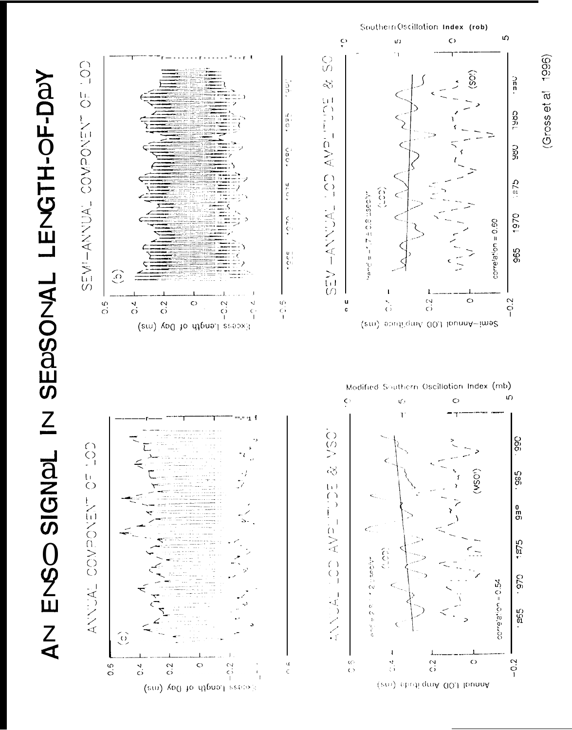$\Omega$  $\ddot{\epsilon}$  $\vec{a}$  $\circ$  $\frac{1}{2}$  $\bigodot$ SEASONAL LEVGTH-OF-DAY  $\begin{array}{c} \supset \mathsf{n} \\ \mathsf{n} \end{array}$  $\mathcal{S}$  $\frac{5}{5}$  $\overline{O}$  $\begin{array}{c} \square \\ \square \\ \square \\ \square \end{array}$ CQAL  $\begin{array}{c} \mathbf{a} \\ \mathbf{b} \\ \mathbf{c} \end{array}$ しろいろ Od MOO コマコンスマー ころいの **AVP CRG**  $\frac{c}{c}$  $\begin{pmatrix} 1 \\ 0 \\ -1 \end{pmatrix}$  $C_{\Delta}$  $40776$  $\widehat{\Omega}$ HOSE HSECH コくコンンマー きほの 1970  $\text{correl}(\text{a}^{\star})$ on = 0.50  $rac{c}{\tau}$ 965  $\begin{array}{c} \mathbf{u} + \\ \mathbf{v} + \\ \mathbf{v} \end{array}$  $\hat{c}$  $-0.2$  $\frac{1}{2}$ u<br>c  $\frac{c}{c}$  $\circ$  $\frac{6}{5}$  $\frac{4}{\cdot}$  $\frac{2}{3}$  $\circ$  $-2.2$  $\epsilon$ Exess Length of Day (em) (em) sputigmA 00.) lounnA~ime2 Modified Southern Oscillotion Index (mb) S)  $\mathsf{C}$  $\circ$  $\mathcal{Q}^{\prime}$  ) ZI JANGIS OSZ Ť. CON. O66.  $\bigodot$  $\breve{\infty}$  $\overline{O}$  $(WSO<sup>n</sup>)$  $585 \begin{array}{c} 1 \\ 1 \\ 0 \\ 1 \end{array}$ しえいNOdNOD TVDNNNV  $\overline{\phantom{a}}$  $\frac{0}{00}$ Ť  $\overline{1}$ AV<sub>2</sub>  $\frac{5}{21}$ ز<br>ج  $\begin{pmatrix} 1 \\ 0 \\ 1 \end{pmatrix}$ e e c'h **CL6.**  $\,$  J  $0.570 = 0.54$  $\frac{1}{2}$ べつイイ 555<br>01  $rac{1}{1}$  $\frac{Z}{4}$  $\overleftrightarrow{0}$ <sup>-</sup>  $\frac{40}{\sqrt{2}}$  $\frac{c}{c}$  $-0.2$  $\circ$  $\frac{4}{5}$  $\frac{6}{2}$  $\frac{2}{3}$  $\frac{d}{c}$  $\frac{4}{\sqrt{2}}$  $\circ$  $\sim$ (em) sbudi gritA 00J lbunnA

lease lienge of Day (en)

 $(Gross et al. 1996)$ 

SouthernOscillation Index (rob)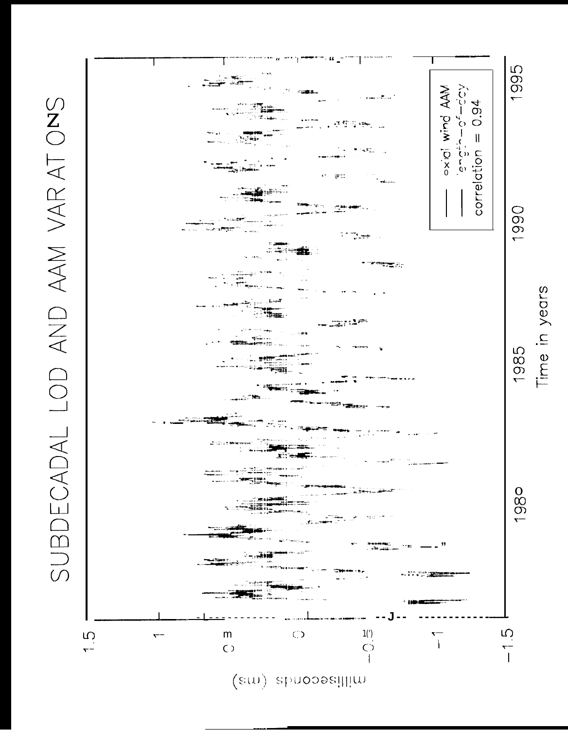(sw) spuopeillim



Time in years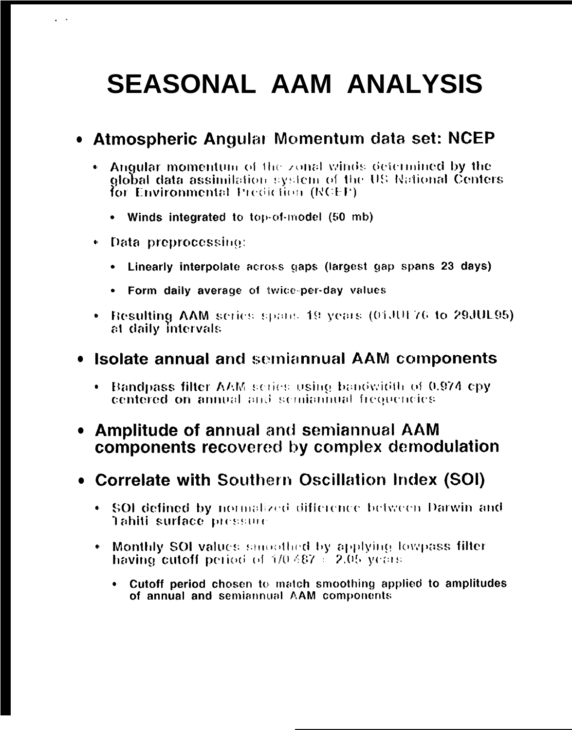# **SEASONAL AAM ANALYSIS**

## . Atmospheric Angular Momentum data set: NCEP

- $\bullet$  Angular momentum of the zonal winds determined by the global data assimilation system of the US National Centers for Environmental Prediction (NCEP).
	- Winds integrated to top-of-model (50 mb)
- Data preprocessing:
	- Linearly interpolate across gaps (largest gap spans 23 days)  $\bullet$
	- . Form daily average of twice-per-day values
- Resulting AAM series spans 19 years (01JUL76 to 29JUL95). at daily intervals

#### • Isolate annual and semiannual AAM components

Bandpass filter AAM series using bandwidth of 0.974 cpy centered on annual and semiannual frequencies

### **Amplitude of annual and semiannual AAM** components recovered by complex demodulation

### . Correlate with Southern Oscillation Index (SOI)

- . SOI defined by normalized difference between Darwin and Tahiti surface pressure
- Monthly SOI values smoothed by applying lowpass filter having cutoff period of  $1/0.487 \div 2.05$  years.
	- Cutoff period chosen to match smoothing applied to amplitudes  $\bullet$  . of annual and semiannual AAM components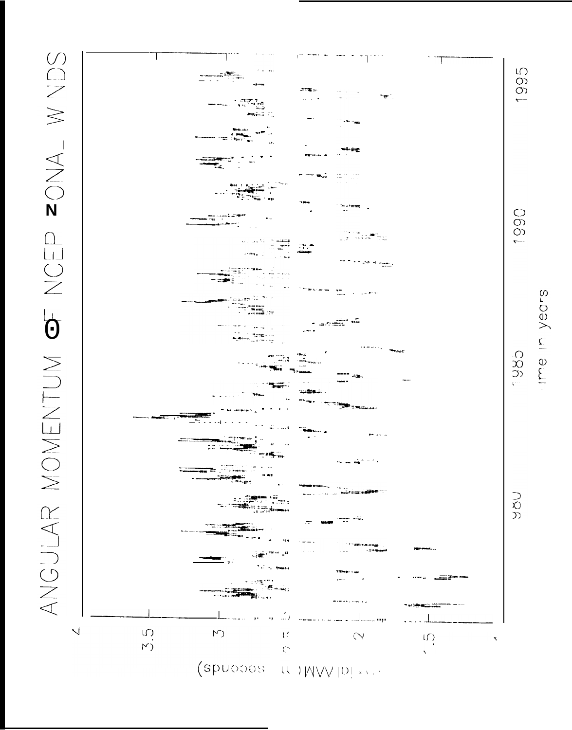



**OOO**  $\overline{\phantom{a}}$ 

Ime in years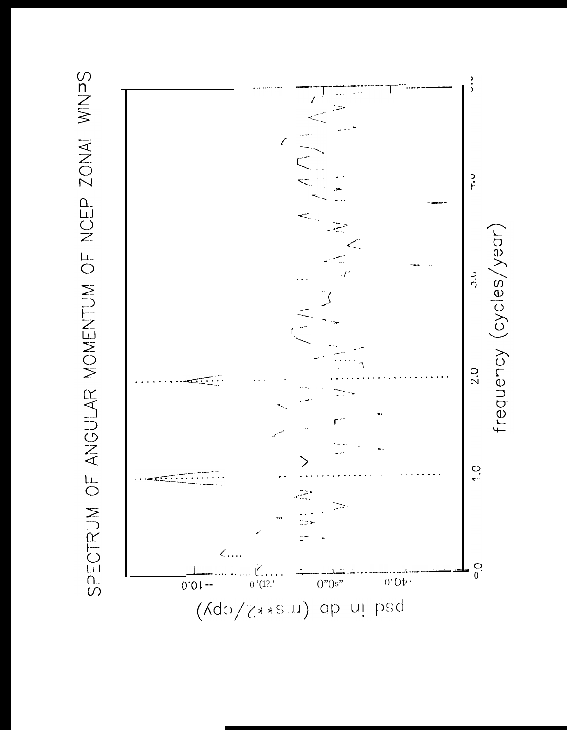

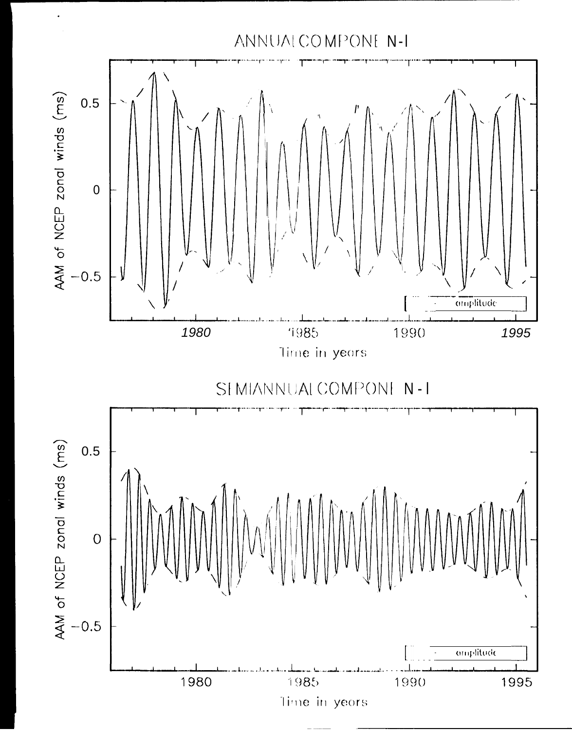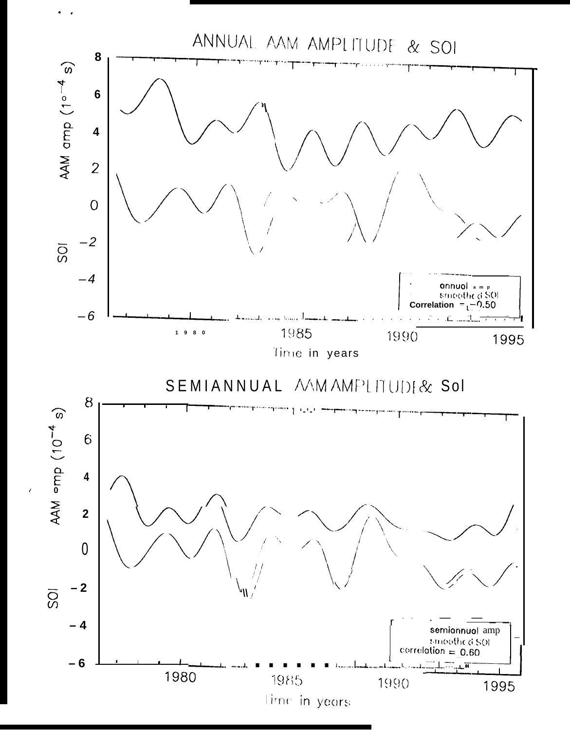